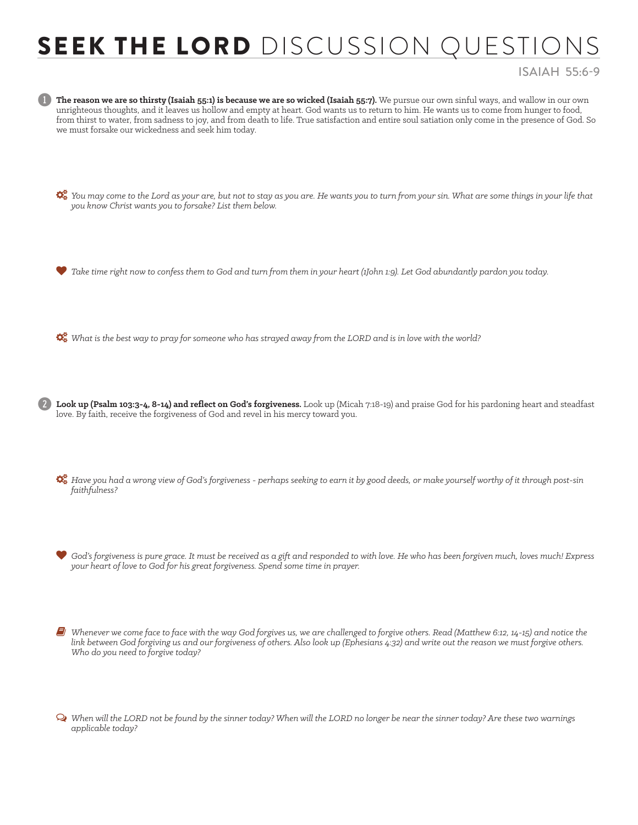## SEEK THE LORD DISCUSSION QUESTIO

## ISAIAH 55:6-9

The reason we are so thirsty (Isaiah 55:1) is because we are so wicked (Isaiah 55:7). We pursue our own sinful ways, and wallow in our own unrighteous thoughts, and it leaves us hollow and empty at heart. God wants us to return to him. He wants us to come from hunger to food, from thirst to water, from sadness to joy, and from death to life. True satisfaction and entire soul satiation only come in the presence of God. So we must forsake our wickedness and seek him today.

 *You may come to the Lord as your are, but not to stay as you are. He wants you to turn from your sin. What are some things in your life that you know Christ wants you to forsake? List them below.* 

*Take time right now to confess them to God and turn from them in your heart (1John 1:9). Let God abundantly pardon you today.* 

*What is the best way to pray for someone who has strayed away from the LORD and is in love with the world?* 

2 **Look up (Psalm 103:3-4, 8-14) and reflect on God's forgiveness.** Look up (Micah 7:18-19) and praise God for his pardoning heart and steadfast love. By faith, receive the forgiveness of God and revel in his mercy toward you.

 *Have you had a wrong view of God's forgiveness - perhaps seeking to earn it by good deeds, or make yourself worthy of it through post-sin faithfulness?* 

 *God's forgiveness is pure grace. It must be received as a gift and responded to with love. He who has been forgiven much, loves much! Express your heart of love to God for his great forgiveness. Spend some time in prayer.* 

6 *Whenever we come face to face with the way God forgives us, we are challenged to forgive others. Read (Matthew 6:12, 14-15) and notice the link between God forgiving us and our forgiveness of others. Also look up (Ephesians 4:32) and write out the reason we must forgive others. Who do you need to forgive today?* 

Ø *When will the LORD not be found by the sinner today? When will the LORD no longer be near the sinner today? Are these two warnings applicable today?*